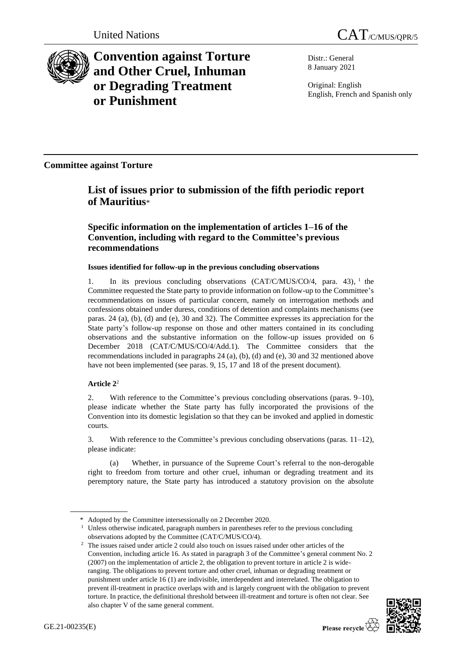

**Convention against Torture and Other Cruel, Inhuman or Degrading Treatment or Punishment**

Distr.: General 8 January 2021

Original: English English, French and Spanish only

**Committee against Torture**

# **List of issues prior to submission of the fifth periodic report of Mauritius**\*

## **Specific information on the implementation of articles 1–16 of the Convention, including with regard to the Committee's previous recommendations**

## **Issues identified for follow-up in the previous concluding observations**

1. In its previous concluding observations (CAT/C/MUS/CO/4, para. 43), 1 the Committee requested the State party to provide information on follow-up to the Committee's recommendations on issues of particular concern, namely on interrogation methods and confessions obtained under duress, conditions of detention and complaints mechanisms (see paras. 24 (a), (b), (d) and (e), 30 and 32). The Committee expresses its appreciation for the State party's follow-up response on those and other matters contained in its concluding observations and the substantive information on the follow-up issues provided on 6 December 2018 (CAT/C/MUS/CO/4/Add.1). The Committee considers that the recommendations included in paragraphs 24 (a), (b), (d) and (e), 30 and 32 mentioned above have not been implemented (see paras. 9, 15, 17 and 18 of the present document).

## **Article 2**<sup>2</sup>

2. With reference to the Committee's previous concluding observations (paras. 9–10), please indicate whether the State party has fully incorporated the provisions of the Convention into its domestic legislation so that they can be invoked and applied in domestic courts.

3. With reference to the Committee's previous concluding observations (paras. 11–12), please indicate:

(a) Whether, in pursuance of the Supreme Court's referral to the non-derogable right to freedom from torture and other cruel, inhuman or degrading treatment and its peremptory nature, the State party has introduced a statutory provision on the absolute

<sup>&</sup>lt;sup>2</sup> The issues raised under article 2 could also touch on issues raised under other articles of the Convention, including article 16. As stated in paragraph 3 of the Committee's general comment No. 2 (2007) on the implementation of article 2, the obligation to prevent torture in article 2 is wideranging. The obligations to prevent torture and other cruel, inhuman or degrading treatment or punishment under article 16 (1) are indivisible, interdependent and interrelated. The obligation to prevent ill-treatment in practice overlaps with and is largely congruent with the obligation to prevent torture. In practice, the definitional threshold between ill-treatment and torture is often not clear. See also chapter V of the same general comment.



<sup>\*</sup> Adopted by the Committee intersessionally on 2 December 2020.

<sup>&</sup>lt;sup>1</sup> Unless otherwise indicated, paragraph numbers in parentheses refer to the previous concluding observations adopted by the Committee (CAT/C/MUS/CO/4).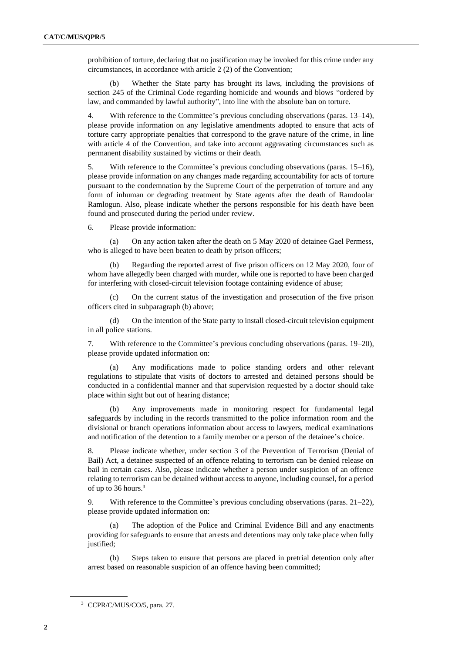prohibition of torture, declaring that no justification may be invoked for this crime under any circumstances, in accordance with article 2 (2) of the Convention;

(b) Whether the State party has brought its laws, including the provisions of section 245 of the Criminal Code regarding homicide and wounds and blows "ordered by law, and commanded by lawful authority", into line with the absolute ban on torture.

4. With reference to the Committee's previous concluding observations (paras. 13–14), please provide information on any legislative amendments adopted to ensure that acts of torture carry appropriate penalties that correspond to the grave nature of the crime, in line with article 4 of the Convention, and take into account aggravating circumstances such as permanent disability sustained by victims or their death.

5. With reference to the Committee's previous concluding observations (paras. 15–16), please provide information on any changes made regarding accountability for acts of torture pursuant to the condemnation by the Supreme Court of the perpetration of torture and any form of inhuman or degrading treatment by State agents after the death of Ramdoolar Ramlogun. Also, please indicate whether the persons responsible for his death have been found and prosecuted during the period under review.

6. Please provide information:

(a) On any action taken after the death on 5 May 2020 of detainee Gael Permess, who is alleged to have been beaten to death by prison officers;

(b) Regarding the reported arrest of five prison officers on 12 May 2020, four of whom have allegedly been charged with murder, while one is reported to have been charged for interfering with closed-circuit television footage containing evidence of abuse;

(c) On the current status of the investigation and prosecution of the five prison officers cited in subparagraph (b) above;

(d) On the intention of the State party to install closed-circuit television equipment in all police stations.

7. With reference to the Committee's previous concluding observations (paras. 19–20), please provide updated information on:

(a) Any modifications made to police standing orders and other relevant regulations to stipulate that visits of doctors to arrested and detained persons should be conducted in a confidential manner and that supervision requested by a doctor should take place within sight but out of hearing distance;

Any improvements made in monitoring respect for fundamental legal safeguards by including in the records transmitted to the police information room and the divisional or branch operations information about access to lawyers, medical examinations and notification of the detention to a family member or a person of the detainee's choice.

8. Please indicate whether, under section 3 of the Prevention of Terrorism (Denial of Bail) Act, a detainee suspected of an offence relating to terrorism can be denied release on bail in certain cases. Also, please indicate whether a person under suspicion of an offence relating to terrorism can be detained without access to anyone, including counsel, for a period of up to 36 hours.<sup>3</sup>

9. With reference to the Committee's previous concluding observations (paras. 21–22), please provide updated information on:

(a) The adoption of the Police and Criminal Evidence Bill and any enactments providing for safeguards to ensure that arrests and detentions may only take place when fully justified;

(b) Steps taken to ensure that persons are placed in pretrial detention only after arrest based on reasonable suspicion of an offence having been committed;

<sup>&</sup>lt;sup>3</sup> CCPR/C/MUS/CO/5, para. 27.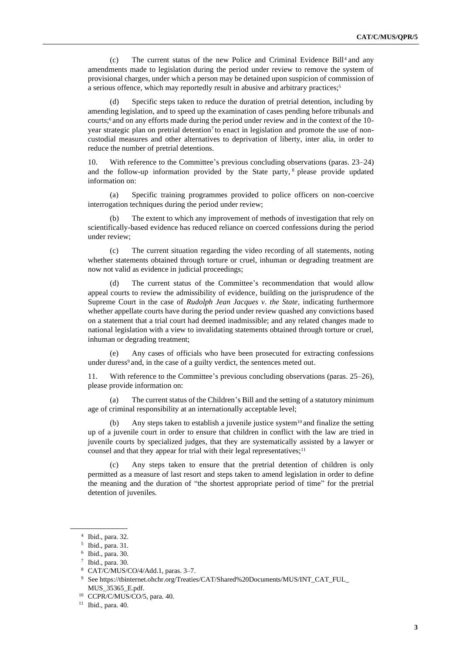(c) The current status of the new Police and Criminal Evidence Bill<sup>4</sup> and any amendments made to legislation during the period under review to remove the system of provisional charges, under which a person may be detained upon suspicion of commission of a serious offence, which may reportedly result in abusive and arbitrary practices; 5

Specific steps taken to reduce the duration of pretrial detention, including by amending legislation, and to speed up the examination of cases pending before tribunals and courts; <sup>6</sup> and on any efforts made during the period under review and in the context of the 10 year strategic plan on pretrial detention<sup>7</sup> to enact in legislation and promote the use of noncustodial measures and other alternatives to deprivation of liberty, inter alia, in order to reduce the number of pretrial detentions.

10. With reference to the Committee's previous concluding observations (paras. 23–24) and the follow-up information provided by the State party, <sup>8</sup> please provide updated information on:

(a) Specific training programmes provided to police officers on non-coercive interrogation techniques during the period under review;

(b) The extent to which any improvement of methods of investigation that rely on scientifically-based evidence has reduced reliance on coerced confessions during the period under review;

(c) The current situation regarding the video recording of all statements, noting whether statements obtained through torture or cruel, inhuman or degrading treatment are now not valid as evidence in judicial proceedings;

(d) The current status of the Committee's recommendation that would allow appeal courts to review the admissibility of evidence, building on the jurisprudence of the Supreme Court in the case of *Rudolph Jean Jacques v. the State*, indicating furthermore whether appellate courts have during the period under review quashed any convictions based on a statement that a trial court had deemed inadmissible; and any related changes made to national legislation with a view to invalidating statements obtained through torture or cruel, inhuman or degrading treatment;

(e) Any cases of officials who have been prosecuted for extracting confessions under duress<sup>9</sup> and, in the case of a guilty verdict, the sentences meted out.

11. With reference to the Committee's previous concluding observations (paras. 25–26), please provide information on:

The current status of the Children's Bill and the setting of a statutory minimum age of criminal responsibility at an internationally acceptable level;

(b) Any steps taken to establish a juvenile justice system<sup>10</sup> and finalize the setting up of a juvenile court in order to ensure that children in conflict with the law are tried in juvenile courts by specialized judges, that they are systematically assisted by a lawyer or counsel and that they appear for trial with their legal representatives; $11$ 

Any steps taken to ensure that the pretrial detention of children is only permitted as a measure of last resort and steps taken to amend legislation in order to define the meaning and the duration of "the shortest appropriate period of time" for the pretrial detention of juveniles.

<sup>4</sup> Ibid., para. 32.

<sup>5</sup> Ibid., para. 31.

<sup>6</sup> Ibid., para. 30.

<sup>7</sup> Ibid., para. 30.

<sup>8</sup> CAT/C/MUS/CO/4/Add.1, paras. 3–7.

 $^9\,$  See https://tbinternet.ohchr.org/Treaties/CAT/Shared%20Documents/MUS/INT\_CAT\_FUL\_ MUS\_35365\_E.pdf.

<sup>10</sup> CCPR/C/MUS/CO/5, para. 40.

<sup>11</sup> Ibid., para. 40.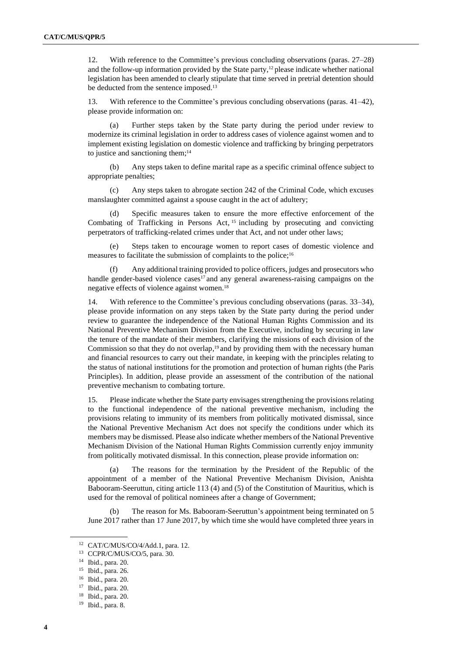12. With reference to the Committee's previous concluding observations (paras. 27–28) and the follow-up information provided by the State party, $12$  please indicate whether national legislation has been amended to clearly stipulate that time served in pretrial detention should be deducted from the sentence imposed. 13

13. With reference to the Committee's previous concluding observations (paras. 41–42), please provide information on:

(a) Further steps taken by the State party during the period under review to modernize its criminal legislation in order to address cases of violence against women and to implement existing legislation on domestic violence and trafficking by bringing perpetrators to justice and sanctioning them;<sup>14</sup>

(b) Any steps taken to define marital rape as a specific criminal offence subject to appropriate penalties;

(c) Any steps taken to abrogate section 242 of the Criminal Code, which excuses manslaughter committed against a spouse caught in the act of adultery;

(d) Specific measures taken to ensure the more effective enforcement of the Combating of Trafficking in Persons Act,  $15$  including by prosecuting and convicting perpetrators of trafficking-related crimes under that Act, and not under other laws;

(e) Steps taken to encourage women to report cases of domestic violence and measures to facilitate the submission of complaints to the police;<sup>16</sup>

Any additional training provided to police officers, judges and prosecutors who handle gender-based violence cases $17$  and any general awareness-raising campaigns on the negative effects of violence against women.<sup>18</sup>

14. With reference to the Committee's previous concluding observations (paras. 33–34), please provide information on any steps taken by the State party during the period under review to guarantee the independence of the National Human Rights Commission and its National Preventive Mechanism Division from the Executive, including by securing in law the tenure of the mandate of their members, clarifying the missions of each division of the Commission so that they do not overlap,<sup>19</sup> and by providing them with the necessary human and financial resources to carry out their mandate, in keeping with the principles relating to the status of national institutions for the promotion and protection of human rights (the Paris Principles). In addition, please provide an assessment of the contribution of the national preventive mechanism to combating torture.

15. Please indicate whether the State party envisages strengthening the provisions relating to the functional independence of the national preventive mechanism, including the provisions relating to immunity of its members from politically motivated dismissal, since the National Preventive Mechanism Act does not specify the conditions under which its members may be dismissed. Please also indicate whether members of the National Preventive Mechanism Division of the National Human Rights Commission currently enjoy immunity from politically motivated dismissal. In this connection, please provide information on:

(a) The reasons for the termination by the President of the Republic of the appointment of a member of the National Preventive Mechanism Division, Anishta Babooram-Seeruttun, citing article 113 (4) and (5) of the Constitution of Mauritius, which is used for the removal of political nominees after a change of Government;

(b) The reason for Ms. Babooram-Seeruttun's appointment being terminated on 5 June 2017 rather than 17 June 2017, by which time she would have completed three years in

<sup>12</sup> CAT/C/MUS/CO/4/Add.1, para. 12.

<sup>13</sup> CCPR/C/MUS/CO/5, para. 30.

<sup>14</sup> Ibid., para. 20.

<sup>15</sup> Ibid., para. 26.

<sup>16</sup> Ibid., para. 20.

<sup>17</sup> Ibid., para. 20.

<sup>18</sup> Ibid., para. 20.

<sup>19</sup> Ibid., para. 8.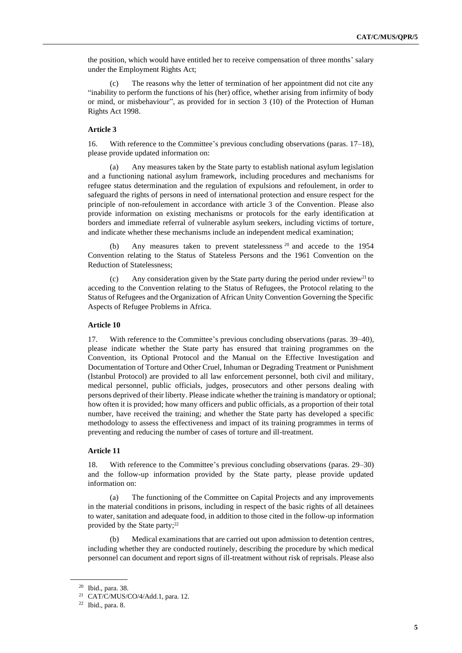the position, which would have entitled her to receive compensation of three months' salary under the Employment Rights Act;

(c) The reasons why the letter of termination of her appointment did not cite any "inability to perform the functions of his (her) office, whether arising from infirmity of body or mind, or misbehaviour", as provided for in section 3 (10) of the Protection of Human Rights Act 1998.

## **Article 3**

16. With reference to the Committee's previous concluding observations (paras. 17–18), please provide updated information on:

Any measures taken by the State party to establish national asylum legislation and a functioning national asylum framework, including procedures and mechanisms for refugee status determination and the regulation of expulsions and refoulement, in order to safeguard the rights of persons in need of international protection and ensure respect for the principle of non-refoulement in accordance with article 3 of the Convention. Please also provide information on existing mechanisms or protocols for the early identification at borders and immediate referral of vulnerable asylum seekers, including victims of torture, and indicate whether these mechanisms include an independent medical examination;

(b) Any measures taken to prevent statelessness <sup>20</sup> and accede to the 1954 Convention relating to the Status of Stateless Persons and the 1961 Convention on the Reduction of Statelessness;

(c) Any consideration given by the State party during the period under review<sup>21</sup> to acceding to the Convention relating to the Status of Refugees, the Protocol relating to the Status of Refugees and the Organization of African Unity Convention Governing the Specific Aspects of Refugee Problems in Africa.

#### **Article 10**

17. With reference to the Committee's previous concluding observations (paras. 39–40), please indicate whether the State party has ensured that training programmes on the Convention, its Optional Protocol and the Manual on the Effective Investigation and Documentation of Torture and Other Cruel, Inhuman or Degrading Treatment or Punishment (Istanbul Protocol) are provided to all law enforcement personnel, both civil and military, medical personnel, public officials, judges, prosecutors and other persons dealing with persons deprived of their liberty. Please indicate whether the training is mandatory or optional; how often it is provided; how many officers and public officials, as a proportion of their total number, have received the training; and whether the State party has developed a specific methodology to assess the effectiveness and impact of its training programmes in terms of preventing and reducing the number of cases of torture and ill-treatment.

#### **Article 11**

18. With reference to the Committee's previous concluding observations (paras. 29–30) and the follow-up information provided by the State party, please provide updated information on:

(a) The functioning of the Committee on Capital Projects and any improvements in the material conditions in prisons, including in respect of the basic rights of all detainees to water, sanitation and adequate food, in addition to those cited in the follow-up information provided by the State party;<sup>22</sup>

Medical examinations that are carried out upon admission to detention centres, including whether they are conducted routinely, describing the procedure by which medical personnel can document and report signs of ill-treatment without risk of reprisals. Please also

<sup>20</sup> Ibid., para. 38.

<sup>21</sup> CAT/C/MUS/CO/4/Add.1, para. 12.

 $22$  Ibid., para. 8.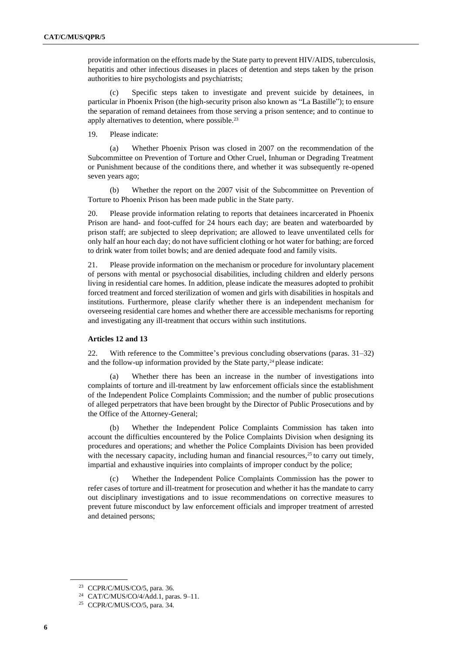provide information on the efforts made by the State party to prevent HIV/AIDS, tuberculosis, hepatitis and other infectious diseases in places of detention and steps taken by the prison authorities to hire psychologists and psychiatrists;

(c) Specific steps taken to investigate and prevent suicide by detainees, in particular in Phoenix Prison (the high-security prison also known as "La Bastille"); to ensure the separation of remand detainees from those serving a prison sentence; and to continue to apply alternatives to detention, where possible.<sup>23</sup>

19. Please indicate:

(a) Whether Phoenix Prison was closed in 2007 on the recommendation of the Subcommittee on Prevention of Torture and Other Cruel, Inhuman or Degrading Treatment or Punishment because of the conditions there, and whether it was subsequently re-opened seven years ago;

(b) Whether the report on the 2007 visit of the Subcommittee on Prevention of Torture to Phoenix Prison has been made public in the State party.

20. Please provide information relating to reports that detainees incarcerated in Phoenix Prison are hand- and foot-cuffed for 24 hours each day; are beaten and waterboarded by prison staff; are subjected to sleep deprivation; are allowed to leave unventilated cells for only half an hour each day; do not have sufficient clothing or hot water for bathing; are forced to drink water from toilet bowls; and are denied adequate food and family visits.

21. Please provide information on the mechanism or procedure for involuntary placement of persons with mental or psychosocial disabilities, including children and elderly persons living in residential care homes. In addition, please indicate the measures adopted to prohibit forced treatment and forced sterilization of women and girls with disabilities in hospitals and institutions. Furthermore, please clarify whether there is an independent mechanism for overseeing residential care homes and whether there are accessible mechanisms for reporting and investigating any ill-treatment that occurs within such institutions.

#### **Articles 12 and 13**

22. With reference to the Committee's previous concluding observations (paras. 31–32) and the follow-up information provided by the State party, $24$  please indicate:

Whether there has been an increase in the number of investigations into complaints of torture and ill-treatment by law enforcement officials since the establishment of the Independent Police Complaints Commission; and the number of public prosecutions of alleged perpetrators that have been brought by the Director of Public Prosecutions and by the Office of the Attorney-General;

(b) Whether the Independent Police Complaints Commission has taken into account the difficulties encountered by the Police Complaints Division when designing its procedures and operations; and whether the Police Complaints Division has been provided with the necessary capacity, including human and financial resources, $25$  to carry out timely, impartial and exhaustive inquiries into complaints of improper conduct by the police;

(c) Whether the Independent Police Complaints Commission has the power to refer cases of torture and ill-treatment for prosecution and whether it has the mandate to carry out disciplinary investigations and to issue recommendations on corrective measures to prevent future misconduct by law enforcement officials and improper treatment of arrested and detained persons;

<sup>23</sup> CCPR/C/MUS/CO/5, para. 36.

<sup>24</sup> CAT/C/MUS/CO/4/Add.1, paras. 9–11.

 $25$  CCPR/C/MUS/CO/5, para. 34.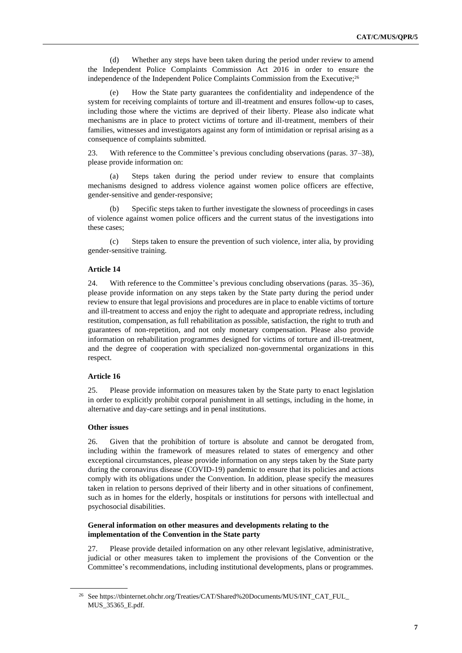(d) Whether any steps have been taken during the period under review to amend the Independent Police Complaints Commission Act 2016 in order to ensure the independence of the Independent Police Complaints Commission from the Executive;<sup>26</sup>

(e) How the State party guarantees the confidentiality and independence of the system for receiving complaints of torture and ill-treatment and ensures follow-up to cases, including those where the victims are deprived of their liberty. Please also indicate what mechanisms are in place to protect victims of torture and ill-treatment, members of their families, witnesses and investigators against any form of intimidation or reprisal arising as a consequence of complaints submitted.

23. With reference to the Committee's previous concluding observations (paras. 37–38), please provide information on:

(a) Steps taken during the period under review to ensure that complaints mechanisms designed to address violence against women police officers are effective, gender-sensitive and gender-responsive;

(b) Specific steps taken to further investigate the slowness of proceedings in cases of violence against women police officers and the current status of the investigations into these cases;

(c) Steps taken to ensure the prevention of such violence, inter alia, by providing gender-sensitive training.

### **Article 14**

24. With reference to the Committee's previous concluding observations (paras. 35–36), please provide information on any steps taken by the State party during the period under review to ensure that legal provisions and procedures are in place to enable victims of torture and ill-treatment to access and enjoy the right to adequate and appropriate redress, including restitution, compensation, as full rehabilitation as possible, satisfaction, the right to truth and guarantees of non-repetition, and not only monetary compensation. Please also provide information on rehabilitation programmes designed for victims of torture and ill-treatment, and the degree of cooperation with specialized non-governmental organizations in this respect.

#### **Article 16**

25. Please provide information on measures taken by the State party to enact legislation in order to explicitly prohibit corporal punishment in all settings, including in the home, in alternative and day-care settings and in penal institutions.

#### **Other issues**

26. Given that the prohibition of torture is absolute and cannot be derogated from, including within the framework of measures related to states of emergency and other exceptional circumstances, please provide information on any steps taken by the State party during the coronavirus disease (COVID-19) pandemic to ensure that its policies and actions comply with its obligations under the Convention. In addition, please specify the measures taken in relation to persons deprived of their liberty and in other situations of confinement, such as in homes for the elderly, hospitals or institutions for persons with intellectual and psychosocial disabilities.

## **General information on other measures and developments relating to the implementation of the Convention in the State party**

27. Please provide detailed information on any other relevant legislative, administrative, judicial or other measures taken to implement the provisions of the Convention or the Committee's recommendations, including institutional developments, plans or programmes.

<sup>26</sup> See https://tbinternet.ohchr.org/Treaties/CAT/Shared%20Documents/MUS/INT\_CAT\_FUL\_ MUS\_35365\_E.pdf.